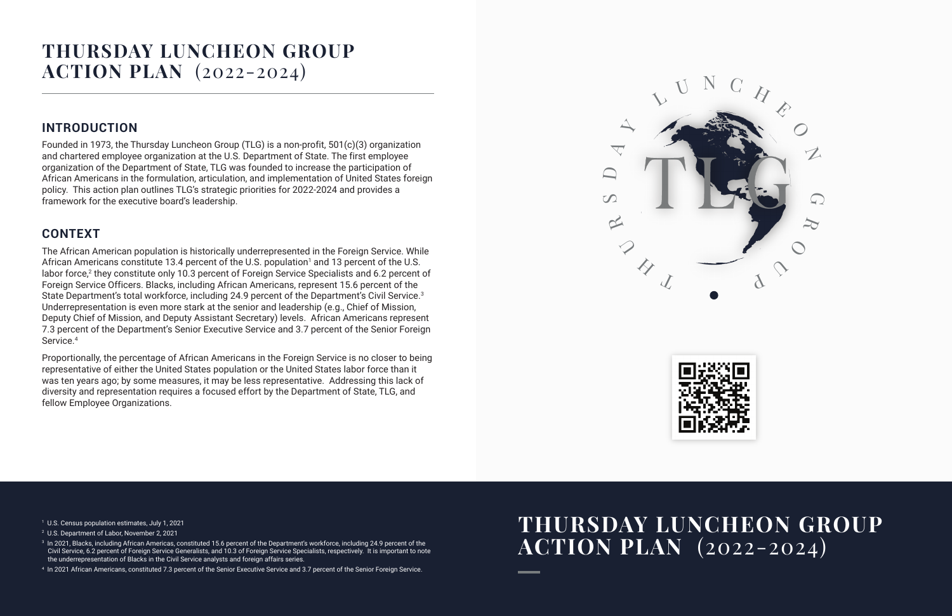## **THURSDAY LUNCHEON GROUP ACTION PLAN** (2022-2024)

## **INTRODUCTION**

The African American population is historically underrepresented in the Foreign Service. While African Americans constitute 13.4 percent of the U.S. population<sup>1</sup> and 13 percent of the U.S. labor force,<sup>2</sup> they constitute only 10.3 percent of Foreign Service Specialists and 6.2 percent of Foreign Service Officers. Blacks, including African Americans, represent 15.6 percent of the State Department's total workforce, including 24.9 percent of the Department's Civil Service.<sup>3</sup> Underrepresentation is even more stark at the senior and leadership (e.g., Chief of Mission, Deputy Chief of Mission, and Deputy Assistant Secretary) levels. African Americans represent 7.3 percent of the Department's Senior Executive Service and 3.7 percent of the Senior Foreign Service.<sup>4</sup>

Founded in 1973, the Thursday Luncheon Group (TLG) is a non-profit, 501(c)(3) organization and chartered employee organization at the U.S. Department of State. The first employee organization of the Department of State, TLG was founded to increase the participation of African Americans in the formulation, articulation, and implementation of United States foreign policy. This action plan outlines TLG's strategic priorities for 2022-2024 and provides a framework for the executive board's leadership.

## **CONTEXT**

Proportionally, the percentage of African Americans in the Foreign Service is no closer to being representative of either the United States population or the United States labor force than it was ten years ago; by some measures, it may be less representative. Addressing this lack of diversity and representation requires a focused effort by the Department of State, TLG, and fellow Employee Organizations.

- 1 U.S. Census population estimates, July 1, 2021
- 2 U.S. Department of Labor, November 2, 2021
- $^{\rm 3}$  In 2021, Blacks, including African Americas, constituted 15.6 percent of the Department's workforce, including 24.9 percent of the Civil Service, 6.2 percent of Foreign Service Generalists, and 10.3 of Foreign Service Specialists, respectively. It is important to note the underrepresentation of Blacks in the Civil Service analysts and foreign affairs series.

4 In 2021 African Americans, constituted 7.3 percent of the Senior Executive Service and 3.7 percent of the Senior Foreign Service.

# **THURSDAY LUNCHEON GROUP ACTION PLAN** (2022-2024)